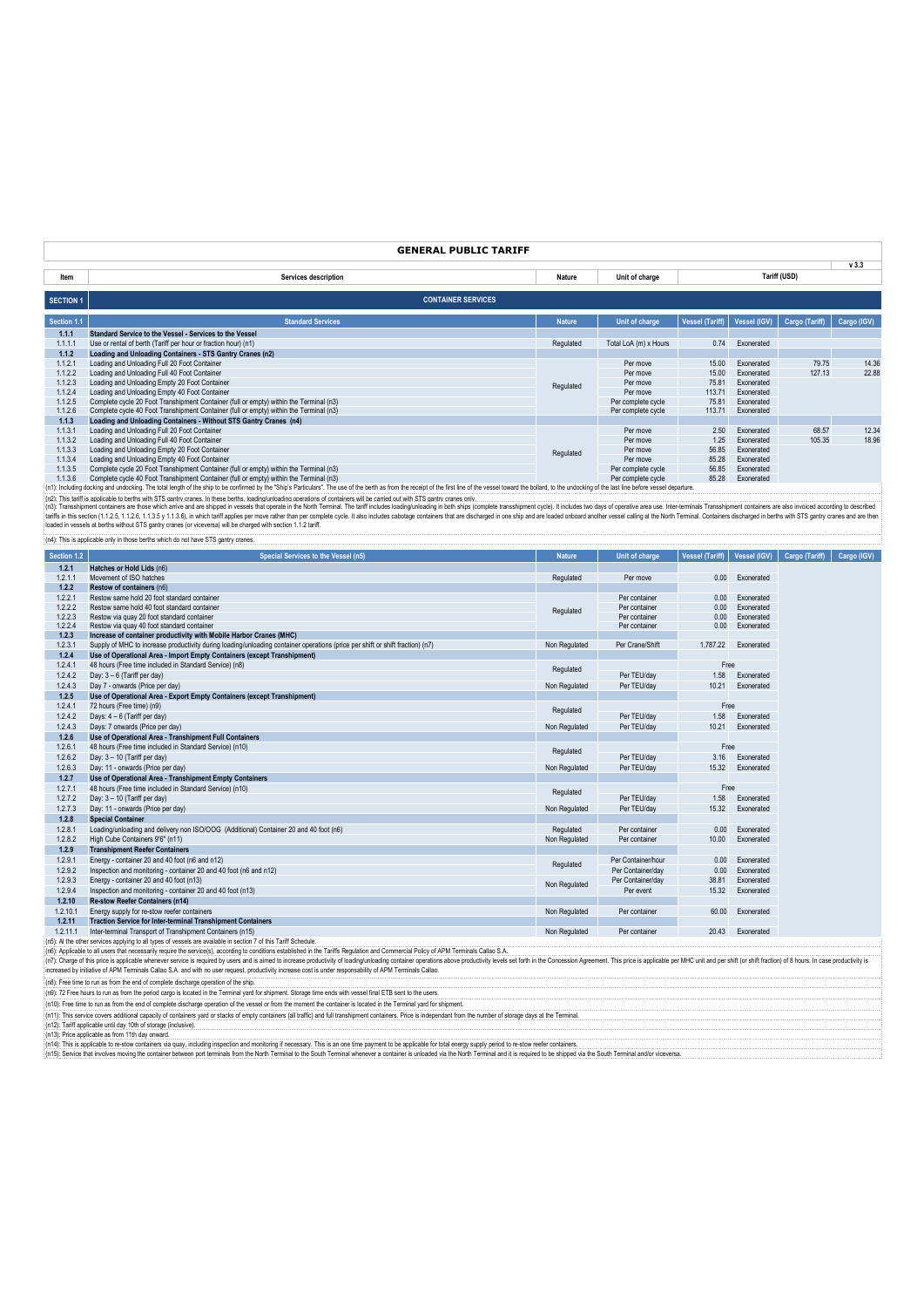| <b>GENERAL PUBLIC TARIFF</b> |                                                                                                                                                                                                                                                                                                                                                                                                                                                                                                                                                                                                                                                                               |               |                                |                        |                          |                 |             |  |
|------------------------------|-------------------------------------------------------------------------------------------------------------------------------------------------------------------------------------------------------------------------------------------------------------------------------------------------------------------------------------------------------------------------------------------------------------------------------------------------------------------------------------------------------------------------------------------------------------------------------------------------------------------------------------------------------------------------------|---------------|--------------------------------|------------------------|--------------------------|-----------------|-------------|--|
| Item                         | Services description                                                                                                                                                                                                                                                                                                                                                                                                                                                                                                                                                                                                                                                          | Nature        | Unit of charge                 |                        |                          | Tariff (USD)    | v3.3        |  |
| <b>SECTION 1</b>             | <b>CONTAINER SERVICES</b>                                                                                                                                                                                                                                                                                                                                                                                                                                                                                                                                                                                                                                                     |               |                                |                        |                          |                 |             |  |
| Section 1.1                  | <b>Standard Services</b>                                                                                                                                                                                                                                                                                                                                                                                                                                                                                                                                                                                                                                                      | <b>Nature</b> | Unit of charge                 | <b>Vessel (Tariff)</b> | Vessel (IGV)             | Cargo (Tariff)  | Cargo (IGV) |  |
| 1.1.1                        | Standard Service to the Vessel - Services to the Vessel                                                                                                                                                                                                                                                                                                                                                                                                                                                                                                                                                                                                                       |               |                                |                        |                          |                 |             |  |
| 1.1.1.1                      | Use or rental of berth (Tariff per hour or fraction hour) (n1)                                                                                                                                                                                                                                                                                                                                                                                                                                                                                                                                                                                                                | Regulated     | Total LoA (m) x Hours          | 0.74                   | Exonerated               |                 |             |  |
| 1.1.2                        | Loading and Unloading Containers - STS Gantry Cranes (n2)                                                                                                                                                                                                                                                                                                                                                                                                                                                                                                                                                                                                                     |               |                                |                        |                          |                 |             |  |
| 1.1.2.1                      | Loading and Unloading Full 20 Foot Container                                                                                                                                                                                                                                                                                                                                                                                                                                                                                                                                                                                                                                  |               | Per move                       | 15.00                  | Exonerated               | 79.75           | 14.36       |  |
| 1.1.2.2<br>1.1.2.3           | Loading and Unloading Full 40 Foot Container<br>Loading and Unloading Empty 20 Foot Container                                                                                                                                                                                                                                                                                                                                                                                                                                                                                                                                                                                 |               | Per move<br>Per move           | 15.00<br>75.81         | Exonerated<br>Exonerated | 127.13          | 22.88       |  |
| 1.1.2.4                      | Loading and Unloading Empty 40 Foot Container                                                                                                                                                                                                                                                                                                                                                                                                                                                                                                                                                                                                                                 | Regulated     | Per move                       | 113.71                 | Exonerated               |                 |             |  |
| 1.1.2.5                      | Complete cycle 20 Foot Transhipment Container (full or empty) within the Terminal (n3)                                                                                                                                                                                                                                                                                                                                                                                                                                                                                                                                                                                        |               | Per complete cycle             | 75.81                  | Exonerated               |                 |             |  |
| 1.1.2.6                      | Complete cycle 40 Foot Transhipment Container (full or empty) within the Terminal (n3)                                                                                                                                                                                                                                                                                                                                                                                                                                                                                                                                                                                        |               | Per complete cycle             | 113.71                 | Exonerated               |                 |             |  |
| 1.1.3                        | Loading and Unloading Containers - Without STS Gantry Cranes (n4)                                                                                                                                                                                                                                                                                                                                                                                                                                                                                                                                                                                                             |               |                                |                        |                          |                 | 12.34       |  |
| 1.1.3.1<br>1.1.3.2           | Loading and Unloading Full 20 Foot Container<br>Loading and Unloading Full 40 Foot Container                                                                                                                                                                                                                                                                                                                                                                                                                                                                                                                                                                                  |               | Per move<br>Per move           | 2.50<br>1.25           | Exonerated<br>Exonerated | 68.57<br>105.35 | 18.96       |  |
| 1.1.3.3                      | Loading and Unloading Empty 20 Foot Container                                                                                                                                                                                                                                                                                                                                                                                                                                                                                                                                                                                                                                 |               | Per move                       | 56.85                  | Exonerated               |                 |             |  |
| 1.1.3.4                      | Loading and Unloading Empty 40 Foot Container                                                                                                                                                                                                                                                                                                                                                                                                                                                                                                                                                                                                                                 | Regulated     | Per move                       | 85.28                  | Exonerated               |                 |             |  |
| 1.1.3.5                      | Complete cycle 20 Foot Transhipment Container (full or empty) within the Terminal (n3)                                                                                                                                                                                                                                                                                                                                                                                                                                                                                                                                                                                        |               | Per complete cycle             | 56.85                  | Exonerated               |                 |             |  |
| 1.1.3.6                      | Complete cycle 40 Foot Transhipment Container (full or empty) within the Terminal (n3)<br>(n1): Including docking and undocking. The total length of the ship to be confirmed by the "Ship's Particulars". The use of the berth as from the receipt of the first line of the vessel toward the bollard, to the undocking                                                                                                                                                                                                                                                                                                                                                      |               | Per complete cycle             | 85.28                  | Exonerated               |                 |             |  |
|                              | (n3): Transshipment containers are those which arrive and are shipped in vessels that operate in the North Terminal. The tantif includes loading/unloading in both ships (complete transshipment cycle). It includes two days<br>tariffs in this section (1.1.2.5, 1.1.2.6, 1.1.3.6, 1.1.3.6), in which tariff applies per move rather than per complete cycle. It also includes cabotage containers that are discharged in one ship and are loaded onboard ano<br>loaded in vessels at berths without STS gantry cranes (or viceversa) will be charged with section 1.1.2 tariff.<br>(n4): This is applicable only in those berths which do not have STS gantry cranes.      |               |                                |                        |                          |                 |             |  |
| Section 1.2                  | Special Services to the Vessel (n5)                                                                                                                                                                                                                                                                                                                                                                                                                                                                                                                                                                                                                                           | <b>Nature</b> | Unit of charge                 | <b>Vessel (Tariff)</b> | <b>Vessel (IGV)</b>      | Cargo (Tariff)  | Cargo (IGV) |  |
| 1.2.1                        | Hatches or Hold Lids (n6)                                                                                                                                                                                                                                                                                                                                                                                                                                                                                                                                                                                                                                                     |               |                                |                        |                          |                 |             |  |
| 1.2.1.1                      | Movement of ISO hatches                                                                                                                                                                                                                                                                                                                                                                                                                                                                                                                                                                                                                                                       | Regulated     | Per move                       | 0.00                   | Exonerated               |                 |             |  |
| 1.2.2                        | Restow of containers (n6)                                                                                                                                                                                                                                                                                                                                                                                                                                                                                                                                                                                                                                                     |               |                                |                        |                          |                 |             |  |
| 1.2.2.1<br>1.2.2.2           | Restow same hold 20 foot standard container<br>Restow same hold 40 foot standard container                                                                                                                                                                                                                                                                                                                                                                                                                                                                                                                                                                                    |               | Per container<br>Per container | 0.00<br>0.00           | Exonerated<br>Exonerated |                 |             |  |
| 1.2.2.3                      | Restow via quay 20 foot standard container                                                                                                                                                                                                                                                                                                                                                                                                                                                                                                                                                                                                                                    | Regulated     | Per container                  | 0.00                   | Exonerated               |                 |             |  |
| 1.2.2.4                      | Restow via quay 40 foot standard container                                                                                                                                                                                                                                                                                                                                                                                                                                                                                                                                                                                                                                    |               | Per container                  | 0.00                   | Exonerated               |                 |             |  |
| 1.2.3                        | Increase of container productivity with Mobile Harbor Cranes (MHC)                                                                                                                                                                                                                                                                                                                                                                                                                                                                                                                                                                                                            |               |                                |                        |                          |                 |             |  |
| 1.2.3.1                      | Supply of MHC to increase productivity during loading/unloading container operations (price per shift or shift fraction) (n7)                                                                                                                                                                                                                                                                                                                                                                                                                                                                                                                                                 | Non Regulated | Per Crane/Shift                | 1,787.22               | Exonerated               |                 |             |  |
| 1.2.4                        | Use of Operational Area - Import Empty Containers (except Transhipment)                                                                                                                                                                                                                                                                                                                                                                                                                                                                                                                                                                                                       |               |                                | Free                   |                          |                 |             |  |
| 1.2.4.1<br>1.2.4.2           | 48 hours (Free time included in Standard Service) (n8)<br>Day: 3 - 6 (Tariff per day)                                                                                                                                                                                                                                                                                                                                                                                                                                                                                                                                                                                         | Regulated     | Per TEU/day                    | 1.58                   | Exonerated               |                 |             |  |
| 1.2.4.3                      | Day 7 - onwards (Price per day)                                                                                                                                                                                                                                                                                                                                                                                                                                                                                                                                                                                                                                               | Non Regulated | Per TEU/day                    | 10.21                  | Exonerated               |                 |             |  |
| 1.2.5                        | Use of Operational Area - Export Empty Containers (except Transhipment)                                                                                                                                                                                                                                                                                                                                                                                                                                                                                                                                                                                                       |               |                                |                        |                          |                 |             |  |
| 1.2.4.1                      | 72 hours (Free time) (n9)                                                                                                                                                                                                                                                                                                                                                                                                                                                                                                                                                                                                                                                     |               |                                | Free                   |                          |                 |             |  |
| 1.2.4.2                      | Days: $4-6$ (Tariff per day)                                                                                                                                                                                                                                                                                                                                                                                                                                                                                                                                                                                                                                                  | Regulated     | Per TEU/day                    | 1.58                   | Exonerated               |                 |             |  |
| 1.2.4.3                      | Days: 7 onwards (Price per day)                                                                                                                                                                                                                                                                                                                                                                                                                                                                                                                                                                                                                                               | Non Regulated | Per TEU/day                    | 10.21                  | Exonerated               |                 |             |  |
| 1.2.6                        | Use of Operational Area - Transhipment Full Containers                                                                                                                                                                                                                                                                                                                                                                                                                                                                                                                                                                                                                        |               |                                |                        |                          |                 |             |  |
| 1.2.6.1<br>1.2.6.2           | 48 hours (Free time included in Standard Service) (n10)                                                                                                                                                                                                                                                                                                                                                                                                                                                                                                                                                                                                                       | Regulated     |                                | Free<br>3.16           | Exonerated               |                 |             |  |
| 1.2.6.3                      | Day: 3 - 10 (Tariff per day)<br>Day: 11 - onwards (Price per day)                                                                                                                                                                                                                                                                                                                                                                                                                                                                                                                                                                                                             | Non Regulated | Per TEU/day<br>Per TEU/day     | 15.32                  | Exonerated               |                 |             |  |
| 1.2.7                        | Use of Operational Area - Transhipment Empty Containers                                                                                                                                                                                                                                                                                                                                                                                                                                                                                                                                                                                                                       |               |                                |                        |                          |                 |             |  |
| 1.2.7.1                      | 48 hours (Free time included in Standard Service) (n10)                                                                                                                                                                                                                                                                                                                                                                                                                                                                                                                                                                                                                       |               |                                | Free                   |                          |                 |             |  |
| 1.2.7.2                      | Day: 3 - 10 (Tariff per day)                                                                                                                                                                                                                                                                                                                                                                                                                                                                                                                                                                                                                                                  | Regulated     | Per TEU/day                    | 1.58                   | Exonerated               |                 |             |  |
| 1.2.7.3                      | Day: 11 - onwards (Price per day)                                                                                                                                                                                                                                                                                                                                                                                                                                                                                                                                                                                                                                             | Non Regulated | Per TEU/day                    | 15.32                  | Exonerated               |                 |             |  |
| 1.2.8                        | <b>Special Container</b>                                                                                                                                                                                                                                                                                                                                                                                                                                                                                                                                                                                                                                                      |               |                                |                        |                          |                 |             |  |
| 1.2.8.1<br>1.2.8.2           | Loading/unloading and delivery non ISO/OOG (Additional) Container 20 and 40 foot (n6)                                                                                                                                                                                                                                                                                                                                                                                                                                                                                                                                                                                         | Regulated     | Per container<br>Per container | 0.00<br>10.00          | Exonerated<br>Exonerated |                 |             |  |
| 1.2.9                        | High Cube Containers 9'6" (n11)<br><b>Transhipment Reefer Containers</b>                                                                                                                                                                                                                                                                                                                                                                                                                                                                                                                                                                                                      | Non Regulated |                                |                        |                          |                 |             |  |
| 1.2.9.1                      | Energy - container 20 and 40 foot (n6 and n12)                                                                                                                                                                                                                                                                                                                                                                                                                                                                                                                                                                                                                                |               | Per Container/hour             | 0.00                   | Exonerated               |                 |             |  |
| 1.2.9.2                      | Inspection and monitoring - container 20 and 40 foot (n6 and n12)                                                                                                                                                                                                                                                                                                                                                                                                                                                                                                                                                                                                             | Regulated     | Per Container/dav              | 0.00                   | Exonerated               |                 |             |  |
| 1.2.9.3                      | Energy - container 20 and 40 foot (n13)                                                                                                                                                                                                                                                                                                                                                                                                                                                                                                                                                                                                                                       | Non Regulated | Per Container/day              | 38.81                  | Exonerated               |                 |             |  |
| 1.2.9.4                      | Inspection and monitoring - container 20 and 40 foot (n13)                                                                                                                                                                                                                                                                                                                                                                                                                                                                                                                                                                                                                    |               | Per event                      | 15.32                  | Exonerated               |                 |             |  |
| 1.2.10                       | <b>Re-stow Reefer Containers (n14)</b>                                                                                                                                                                                                                                                                                                                                                                                                                                                                                                                                                                                                                                        |               |                                |                        |                          |                 |             |  |
| 1.2.10.1<br>1.2.11           | Energy supply for re-stow reefer containers<br><b>Traction Service for Inter-terminal Transhipment Containers</b>                                                                                                                                                                                                                                                                                                                                                                                                                                                                                                                                                             | Non Regulated | Per container                  | 60.00                  | Exonerated               |                 |             |  |
|                              | 1.2.11.1 Inter-terminal Transport of Transhipment Containers (n15)                                                                                                                                                                                                                                                                                                                                                                                                                                                                                                                                                                                                            | Non Regulated | Per container                  |                        | 20.43 Exonerated         |                 |             |  |
|                              | (n5): Al the other services applying to all types of vessels are available in section 7 of this Tariff Schedule.                                                                                                                                                                                                                                                                                                                                                                                                                                                                                                                                                              |               |                                |                        |                          |                 |             |  |
|                              | (n6): Applicable to all users that necessarily require the service(s), according to conditions established in the Tariffs Regulation and Commercial Policy of APM Terminals Callao S.A<br>(n7): Charge of this price is applicable whenever service is required by users and is aimed to increase productivity of loading/unloading container operations above productivity levels set forth in the Concession Agreement<br>increased by initiative of APM Terminals Callao S.A. and with no user request, productivity increase cost is under responsability of APM Terminals Callao.<br>(n8): Free time to run as from the end of complete discharge operation of the ship. |               |                                |                        |                          |                 |             |  |
|                              | (n9): 72 Free hours to run as from the period cargo is located in the Terminal yard for shipment. Storage time ends with vessel final ETB sent to the users.                                                                                                                                                                                                                                                                                                                                                                                                                                                                                                                  |               |                                |                        |                          |                 |             |  |
|                              | (n10): Free time to run as from the end of complete discharge operation of the vessel or from the moment the container is located in the Terminal yard for shipment.<br>(n11): This service covers additional capacity of containers yard or stacks of empty containers (all traffic) and full transhipment containers. Price is independant from the number of storage days at the Terminal                                                                                                                                                                                                                                                                                  |               |                                |                        |                          |                 |             |  |
|                              | (n12): Tariff applicable until day 10th of storage (inclusive).                                                                                                                                                                                                                                                                                                                                                                                                                                                                                                                                                                                                               |               |                                |                        |                          |                 |             |  |
|                              | (n13): Price applicable as from 11th day onward.                                                                                                                                                                                                                                                                                                                                                                                                                                                                                                                                                                                                                              |               |                                |                        |                          |                 |             |  |
|                              | (n14): This is applicable to re-stow containers via quay, including inspection and monitoring if necessary. This is an one time payment to be applicable for total energy supply period to re-stow reefer container                                                                                                                                                                                                                                                                                                                                                                                                                                                           |               |                                |                        |                          |                 |             |  |

(n14). This is appicable to re-stow containers via guay, including inspection and monitoring if recessary. This is an one time payment to be applicable for total energy supply period to respute the South Teminal and it is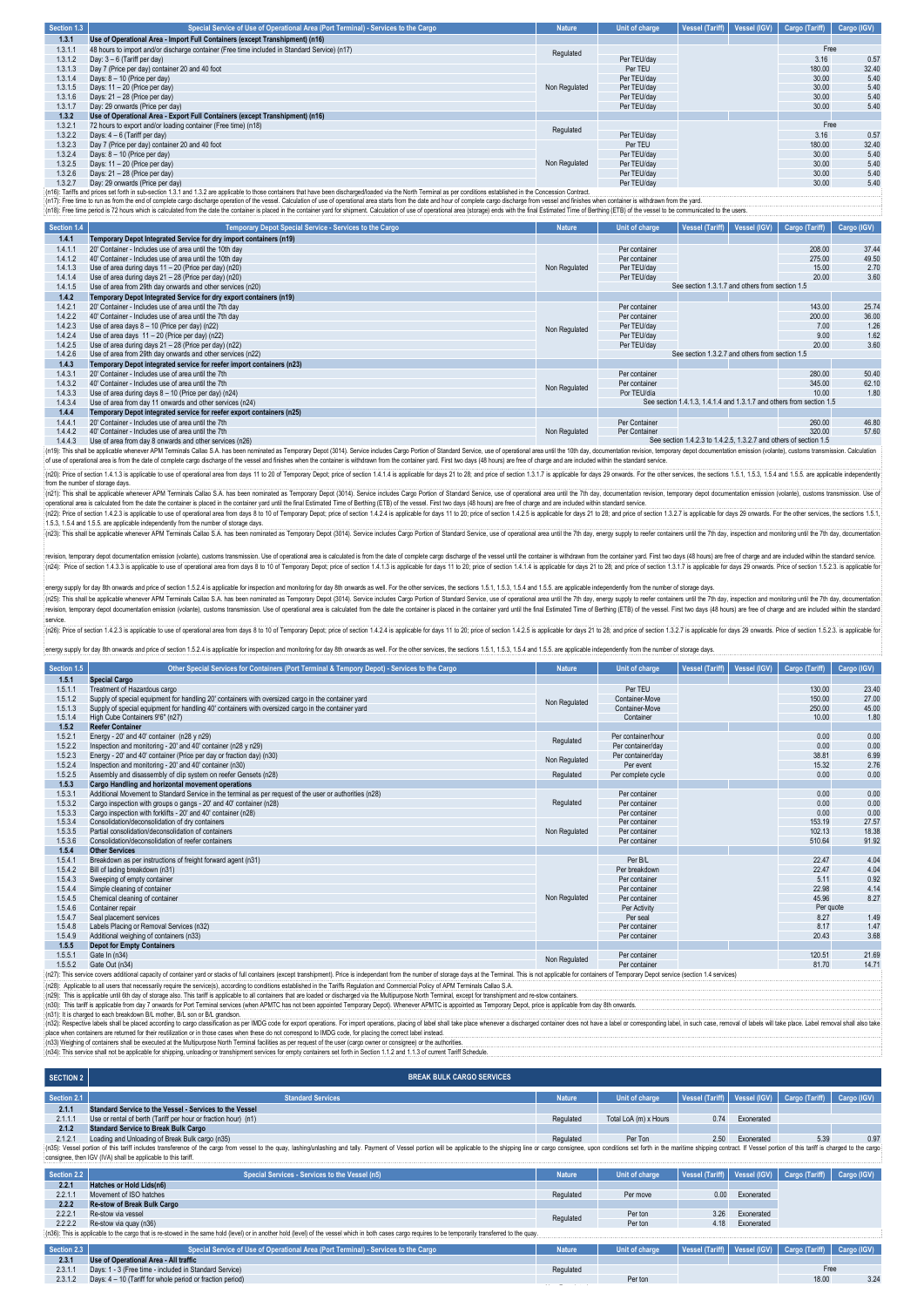| Section 1.3 | Special Service of Use of Operational Area (Port Terminal) - Services to the Cargo           | <b>Nature</b> | Unit of charge | Vessel (Tariff) | Vessel (IGV) | Cargo (Tariff) | Cargo (IGV)   |
|-------------|----------------------------------------------------------------------------------------------|---------------|----------------|-----------------|--------------|----------------|---------------|
| 1.3.1       | Use of Operational Area - Import Full Containers (except Transhipment) (n16)                 |               |                |                 |              |                |               |
| 1.3.1.1     | 48 hours to import and/or discharge container (Free time included in Standard Service) (n17) | Regulated     |                |                 |              | Free           |               |
| 1.3.1.2     | Dav: 3 - 6 (Tariff per dav)                                                                  |               | Per TEU/dav    |                 |              | 3.16           | $0.5^{\circ}$ |
| 1.3.1.3     | Day 7 (Price per day) container 20 and 40 foot                                               |               | Per TEU        |                 |              | 180.00         | 32.4          |
| 1.3.1.4     | Days: $8 - 10$ (Price per day)                                                               |               | Per TEU/dav    |                 |              | 30.00          | 5.40          |
| 1.3.1.5     | Days: 11 - 20 (Price per day)                                                                | Non Regulated | Per TEU/dav    |                 |              | 30.00          | 5.40          |
| 1.3.1.6     | Days: 21 - 28 (Price per day)                                                                |               | Per TEU/dav    |                 | 30.00        | 5.40           |               |
| 1.3.1.7     | Day: 29 onwards (Price per day)                                                              |               | Per TEU/dav    |                 |              | 30.00          | 5.40          |
| 1.3.2       | Use of Operational Area - Export Full Containers (except Transhipment) (n16)                 |               |                |                 |              |                |               |
| 1.3.2.1     | 72 hours to export and/or loading container (Free time) (n18)                                | Regulated     |                |                 |              | Free           |               |
| 1.3.2.2     | Days: 4 - 6 (Tariff per day)                                                                 |               | Per TEU/dav    |                 |              | 3.16           | $0.5^{\circ}$ |
| 1.3.2.3     | Day 7 (Price per day) container 20 and 40 foot                                               |               | Per TEU        |                 |              | 180.00         | 32.4          |
| 1.3.2.4     | Days: 8 - 10 (Price per day)                                                                 |               | Per TEU/dav    |                 |              | 30.00          | 5.40          |
| 1.3.2.5     | Days: 11 - 20 (Price per day)                                                                | Non Regulated | Per TEU/dav    |                 |              | 30.00          | 5.40          |
| 1.3.2.6     | Days: 21 - 28 (Price per day)                                                                |               | Per TEU/dav    |                 |              | 30.00          | 5.40          |
| 1.3.2.7     | Day: 29 onwards (Price per day)                                                              |               | Per TEU/dav    |                 |              | 30.00          | 5.40          |

1.3.2.7 Day: 29 onwards (Price per day) 30.00 5.40<br>(n16): Tarifis and prices set form in sub-section 1.3.1 and 1.3.2 are applicable to those containers that have been discharged/loaded via the North Terminal as per conditi

| Section 1.4 | Temporary Depot Special Service - Services to the Cargo               | <b>Nature</b> | Unit of charge                                  | Vessel (Tariff)                                 | Vessel (IGV) | Cargo (Tariff)                                                       | Cargo (IGV) |  |  |
|-------------|-----------------------------------------------------------------------|---------------|-------------------------------------------------|-------------------------------------------------|--------------|----------------------------------------------------------------------|-------------|--|--|
| 1.4.1       | Temporary Depot Integrated Service for dry import containers (n19)    |               |                                                 |                                                 |              |                                                                      |             |  |  |
| 1.4.1.1     | 20' Container - Includes use of area until the 10th day               |               | Per container                                   |                                                 |              | 208.00                                                               | 37.44       |  |  |
| 1.4.1.2     | 40' Container - Includes use of area until the 10th day               |               | Per container                                   |                                                 |              | 275.00                                                               | 49.50       |  |  |
| 1.4.1.3     | Use of area during days 11 - 20 (Price per day) (n20)                 | Non Regulated | Per TEU/day                                     |                                                 |              | 15.00                                                                | 2.70        |  |  |
| 1.4.1.4     | Use of area during days 21 - 28 (Price per day) (n20)                 |               | Per TEU/day                                     |                                                 |              | 20.00                                                                | 3.60        |  |  |
| 1.4.1.5     | Use of area from 29th day onwards and other services (n20)            |               |                                                 | See section 1.3.1.7 and others from section 1.5 |              |                                                                      |             |  |  |
| 1.4.2       | Temporary Depot Integrated Service for dry export containers (n19)    |               |                                                 |                                                 |              |                                                                      |             |  |  |
| 1.4.2.1     | 20' Container - Includes use of area until the 7th day                |               | Per container                                   |                                                 |              | 143.00                                                               | 25.74       |  |  |
| 1.4.2.2     | 40' Container - Includes use of area until the 7th day                | Non Regulated | Per container                                   |                                                 |              | 200.00                                                               | 36.00       |  |  |
| 1.4.2.3     | Use of area days 8 - 10 (Price per day) (n22)                         |               | Per TEU/dav                                     |                                                 |              | 7.00                                                                 | 1.26        |  |  |
| 1.4.2.4     | Use of area days 11 - 20 (Price per day) (n22)                        |               | Per TEU/day                                     |                                                 |              | 9.00                                                                 | 1.62        |  |  |
| 1.4.2.5     | Use of area during days 21 - 28 (Price per day) (n22)                 |               | Per TEU/day                                     |                                                 |              | 20.00                                                                | 3.60        |  |  |
| 1.4.2.6     | Use of area from 29th day onwards and other services (n22)            |               | See section 1.3.2.7 and others from section 1.5 |                                                 |              |                                                                      |             |  |  |
| 1.4.3       | Temporary Depot integrated service for reefer import containers (n23) |               |                                                 |                                                 |              |                                                                      |             |  |  |
| 1.4.3.1     | 20' Container - Includes use of area until the 7th                    |               | Per container                                   |                                                 |              | 280.00                                                               | 50.40       |  |  |
| 1.4.3.2     | 40' Container - Includes use of area until the 7th                    | Non Regulated | Per container                                   |                                                 |              | 345.00                                                               | 62.10       |  |  |
| 1.4.3.3     | Use of area during days 8 - 10 (Price per day) (n24)                  |               | Por TEU/día                                     |                                                 |              | 10.00                                                                | 1.80        |  |  |
| 1.4.3.4     | Use of area from day 11 onwards and other services (n24)              |               |                                                 |                                                 |              | See section 1.4.1.3, 1.4.1.4 and 1.3.1.7 and others from section 1.5 |             |  |  |
| 1.4.4       | Temporary Depot integrated service for reefer export containers (n25) |               |                                                 |                                                 |              |                                                                      |             |  |  |
| 1.4.4.1     | 20' Container - Includes use of area until the 7th                    |               | Per Container                                   |                                                 |              | 260.00                                                               | 46.80       |  |  |
| 1.4.4.2     | 40' Container - Includes use of area until the 7th                    | Non Regulated | Per Container                                   |                                                 |              | 320.00                                                               | 57.60       |  |  |
| 1.4.4.3     | Use of area from day 8 onwards and other services (n26)               |               |                                                 |                                                 |              | See section 1.4.2.3 to 1.4.2.5, 1.3.2.7 and others of section 1.5    |             |  |  |

1.4.4.3 Use of area from day 8 onwards and other services (n26)

(n19): This hall be applicable whenever APM Terminist Callex SA, has been nominated as Temporary Depot (3014). Service indudes Cargo Portion of Slandard School area und the of this expect for the container is withdrawn fro

(n22): Price of section 14.2.3 is applicable to use of operational area from days 8 to 10 of Temporary Depot; price of section 14.2.4 is applicable for days 11to 20; price of section 14.2.5 is applicable for days 21 to 20; (n20): Price of section 14.13 is applicable to use of operational area from days 11 to 20 of Temporary Depot; price of section 14.1.4 is applicable for days 21 to 28; and price of section 1.3.1.7 is applicable for days 2 f (n2): This hall be applicable whenever APM Terminals Callao S.A. has been nominated as Temporary Depot (3014). Senvice includes Cargo Porthon of Standard Service a until the final Estimated Time of Decising ICTB) of the ve

1.50.0.1.3 and travelar and the applicate incomponently into the militer of a stosp-toy.<br>(n23): This shall be applicable whenever APM Terminals Gallao S.A has been nominated as Temporary Depot (3014). Service includes Car

rary decord documentation emission (volante), customs transmission, Use of operational area is calculated is from the date of complete cargo discharge of the vessel until the container is withdrawn from the container yard. (n24): Price of section 1.4.3.3 is applicable to use of operational area from days 8 to 10 of Temporary Depot; price of section 1.4.1.3 is applicable for days 11 to 20; price of section 1.4.1.4 is applicable for days 21 to 28; and price of section 1.3.1.7 is applicable for days 29 onwards. Price of section 1.5.2.3. is applicable for

(n25): This shall be applicable whenever APM Terminals Callao S.A. has been nominated as Temporary Depot (3014). Service includes Cargo Portion of Standard Service, use of operational area until the Thi day, energy supply service. ergy supply for day 8th onwards and price of section 1.5.2.4 is applicable for inspection and monitoring for day 8th onwards as well. For the other services, the sections 1.5.1, 1.5.3, 1.5-4 and 1.5.5, are applicable indep

(n) Price of section 1423 is annicable to use of onerational area from days 8 to 10 of Temporary Depot: price of section 1424 is annicable for days 11to 20: price of section 1425 is annicable for days 11to 20: price of sec

energy supply for day 8th onwards and price of section 1.5.2.4 is applicable for inspection and monitoring for day 8th onwards as well. For the other services, the sections 1.5.1, 1.5.3, 1.5.4 and 1.5.5. are applicable ind

| Section 1.5 | Other Special Services for Containers (Port Terminal & Tempory Depot) - Services to the Cargo           | <b>Nature</b> | Unit of charge     | <b>Vessel (Tariff)</b> | Vessel (IGV) | Cargo (Tariff) | Cargo (IGV) |
|-------------|---------------------------------------------------------------------------------------------------------|---------------|--------------------|------------------------|--------------|----------------|-------------|
| 1.5.1       | <b>Special Cargo</b>                                                                                    |               |                    |                        |              |                |             |
| 1.5.1.1     | Treatment of Hazardous cargo                                                                            |               | Per TEU            |                        |              | 130.00         | 23.40       |
| 1.5.1.2     | Supply of special equipment for handling 20' containers with oversized cargo in the container vard      | Non Regulated | Container-Move     |                        |              | 150.00         | 27.00       |
| 1.5.1.3     | Supply of special equipment for handling 40' containers with oversized cargo in the container vard      |               | Container-Move     |                        |              | 250.00         | 45.00       |
| 1.5.1.4     | High Cube Containers 9'6" (n27)                                                                         |               | Container          |                        |              | 10.00          | 1.80        |
| 1.5.2       | <b>Reefer Container</b>                                                                                 |               |                    |                        |              |                |             |
| 1.5.2.1     | Energy - 20' and 40' container (n28 y n29)                                                              | Regulated     | Per container/hour |                        |              | 0.00           | 0.00        |
| 1.5.2.2     | Inspection and monitoring - 20' and 40' container (n28 y n29)                                           |               | Per container/dav  |                        |              | 0.00           | 0.00        |
| 1.5.2.3     | Energy - 20' and 40' container (Price per day or fraction day) (n30)                                    | Non Regulated | Per container/day  |                        |              | 38.81          | 6.99        |
| 1.5.2.4     | Inspection and monitoring - 20' and 40' container (n30)                                                 |               | Per event          |                        |              | 15.32          | 2.76        |
| 1.5.2.5     | Assembly and disassembly of clip system on reefer Gensets (n28)                                         | Regulated     | Per complete cycle |                        |              | 0.00           | 0.00        |
| 1.5.3       | <b>Cargo Handling and horizontal movement operations</b>                                                |               |                    |                        |              |                |             |
| 1.5.3.1     | Additional Movement to Standard Service in the terminal as per request of the user or authorities (n28) |               | Per container      |                        |              | 0.00           | 0.00        |
| 1.5.3.2     | Cargo inspection with groups o gangs - 20' and 40' container (n28)                                      | Regulated     | Per container      |                        |              | 0.00           | 0.00        |
| 1.5.3.3     | Cargo inspection with forklifts - 20' and 40' container (n28)                                           |               | Per container      |                        |              | 0.00           | 0.00        |
| 1.5.3.4     | Consolidation/deconsolidation of dry containers                                                         |               | Per container      |                        |              | 153.19         | 27.57       |
| 1.5.3.5     | Partial consolidation/deconsolidation of containers                                                     | Non Regulated | Per container      |                        |              | 102.13         | 18.38       |
| 1.5.3.6     | Consolidation/deconsolidation of reefer containers                                                      |               | Per container      |                        |              | 510.64         | 91.92       |
| 1.5.4       | <b>Other Services</b>                                                                                   |               |                    |                        |              |                |             |
| 1.5.4.1     | Breakdown as per instructions of freight forward agent (n31)                                            |               | Per B/L            |                        |              | 22.47          | 4.04        |
| 1.5.4.2     | Bill of lading breakdown (n31)                                                                          |               | Per breakdown      |                        |              | 22.47          | 4.04        |
| 1.5.4.3     | Sweeping of empty container                                                                             |               | Per container      |                        |              | 5.11           | 0.92        |
| 1.5.4.4     | Simple cleaning of container                                                                            |               | Per container      |                        |              | 22.98          | 4.14        |
| 1.5.4.5     | Chemical cleaning of container                                                                          | Non Regulated | Per container      |                        |              | 45.96          | 8.27        |
| 1.5.4.6     | Container repair                                                                                        |               | Per Activity       |                        |              | Per quote      |             |
| 1.5.4.7     | Seal placement services                                                                                 |               | Per seal           |                        |              | 8.27           | 1.49        |
| 1.5.4.8     | Labels Placing or Removal Services (n32)                                                                |               | Per container      |                        |              | 8.17           | 1.47        |
| 1.5.4.9     | Additional weighing of containers (n33)                                                                 |               | Per container      |                        |              | 20.43          | 3.68        |
| 1.5.5       | <b>Depot for Empty Containers</b>                                                                       |               |                    |                        |              |                |             |
| 1.5.5.1     | Gate In (n34)                                                                                           | Non Regulated | Per container      |                        |              | 120.51         | 21.69       |
| 1.5.5.2     | Gate Out (n34)                                                                                          |               | Per container      |                        |              | 81.70          | 14.71       |

1.5.5.2 Gate Out (n34) Per container Per container per container (81.70 14.71<br>(n27): This service covers additional capacity of container yard or stacks of full containers (except transhipment). Price is independant from t (n28): Applicable to all users that necessarily require the service(s), according to conditions established in the Tariffs Regulation and Commercial Policy of APM Terminals Callao S.A.<br>(n29): This is applicable until 6th d

(n3)). This tariff is applicable from day 7 onwards for Port Terminal services (when APMTC has not been appointed Temporary Depot). Whenever APMTC is appointed as Temporary Depot, priors is applicable from day 81h onwards.

(n34): This service shall not be applicable for shipping, unloading or transhipment services for empty containers set forth in Section 1.1.2 and 1.1.3 of current Tariff Schedule.

| <b>SECTION 2</b> | <b>BREAK BULK CARGO SERVICES</b>                                                                                                                                                                                               |               |                       |                                                 |              |                       |             |
|------------------|--------------------------------------------------------------------------------------------------------------------------------------------------------------------------------------------------------------------------------|---------------|-----------------------|-------------------------------------------------|--------------|-----------------------|-------------|
| Section 2.1      | <b>Standard Services</b>                                                                                                                                                                                                       | <b>Nature</b> | Unit of charge        | <b>Vessel (Tariff)</b>                          | Vessel (IGV) | <b>Cargo (Tariff)</b> | Cargo (IGV) |
| 2.1.1            | Standard Service to the Vessel - Services to the Vessel                                                                                                                                                                        |               |                       |                                                 |              |                       |             |
| 2.1.1.1          | Use or rental of berth (Tariff per hour or fraction hour) (n1)                                                                                                                                                                 | Regulated     | Total LoA (m) x Hours | 0.74                                            | Exonerated   |                       |             |
| 2.1.2            | <b>Standard Service to Break Bulk Cargo</b>                                                                                                                                                                                    |               |                       |                                                 |              |                       |             |
| 2.1.2.1          | Loading and Unloading of Break Bulk cargo (n35)                                                                                                                                                                                | Regulated     | Per Ton               | 2.50                                            | Exonerated   | 5.39                  | 0.97        |
|                  | i(n35): Vessel portion of this tariff includes transference of the cargo from vessel to the quay, lashing/unlashing and tally. Payment of Vessel portion will be applicable to the shipping line or cargo consignee, upon cond |               |                       |                                                 |              |                       |             |
|                  | consignee, then IGV (IVA) shall be applicable to this tariff.                                                                                                                                                                  |               |                       |                                                 |              |                       |             |
|                  |                                                                                                                                                                                                                                |               |                       |                                                 |              |                       |             |
| Section 2.2      | Special Services - Services to the Vessel (n5)                                                                                                                                                                                 | <b>Nature</b> | Unit of charge        | <b>Vessel (Tariff)</b>                          | Vessel (IGV) | Cargo (Tariff)        | Cargo (IGV) |
| 2.2.1            | Hatches or Hold Lids(n6)                                                                                                                                                                                                       |               |                       |                                                 |              |                       |             |
| 2.2.1.1          | Movement of ISO hatches                                                                                                                                                                                                        | Regulated     | Per move              | 0.00                                            | Exonerated   |                       |             |
| 2.2.2            | Re-stow of Break Bulk Cargo                                                                                                                                                                                                    |               |                       |                                                 |              |                       |             |
| 2221             | Re-stow via vessel                                                                                                                                                                                                             | Regulated     | Per ton               | 3.26                                            | Exonerated   |                       |             |
| 2.2.2.2          | Re-stow via quay (n36)                                                                                                                                                                                                         |               | Per ton               | 4.18                                            | Exonerated   |                       |             |
|                  | (n36): This is applicable to the cargo that is re-stowed in the same hold (level) or in another hold (level) of the vessel which in both cases cargo requires to be temporarily transferred to the quay                        |               |                       |                                                 |              |                       |             |
| Section 2.3      | Special Service of Use of Operational Area (Port Terminal) - Services to the Cargo                                                                                                                                             | <b>Nature</b> | Unit of charge        | Vessel (Tariff)   Vessel (IGV)   Cargo (Tariff) |              |                       | Cargo (IGV) |
| 2.3.1            | Use of Operational Area - All traffic                                                                                                                                                                                          |               |                       |                                                 |              |                       |             |
| 2.3.1.1          | Days: 1 - 3 (Free time - included in Standard Service)                                                                                                                                                                         | Regulated     |                       |                                                 |              | Free                  |             |
| 2.3.1.2          | Days: 4 - 10 (Tariff for whole period or fraction period)                                                                                                                                                                      |               | Per ton               |                                                 |              | 18.00                 | 3.24        |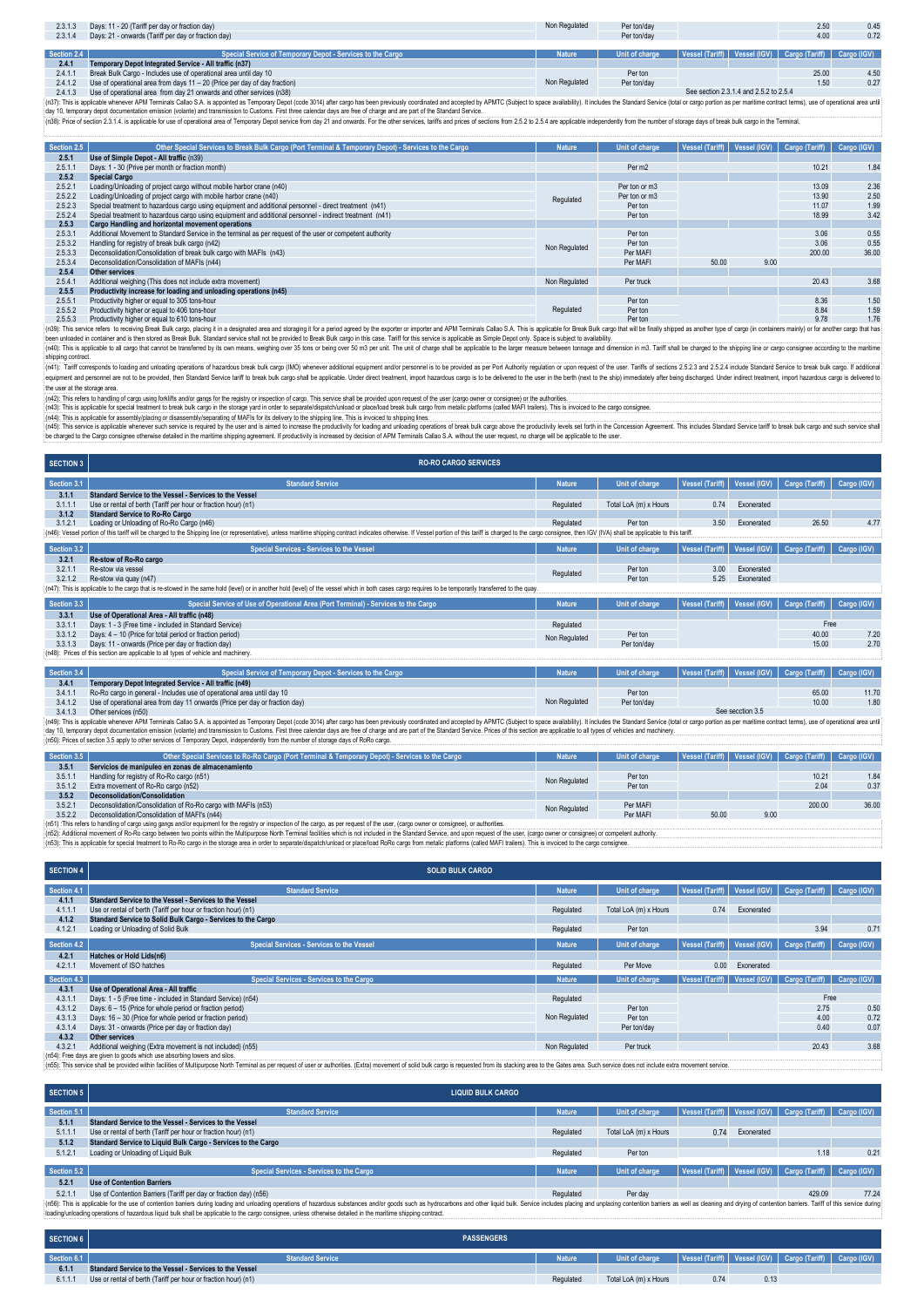| 2.3.1.3     | Days: 11 - 20 (Tariff per day or fraction day)                                                                                                                                                                                 | Non Regulated | Per ton/day    |  |                                        | 2.50                                                          | 0.45 |  |  |  |  |
|-------------|--------------------------------------------------------------------------------------------------------------------------------------------------------------------------------------------------------------------------------|---------------|----------------|--|----------------------------------------|---------------------------------------------------------------|------|--|--|--|--|
| 2.3.1.4     | Days: 21 - onwards (Tariff per day or fraction day)                                                                                                                                                                            |               | Per ton/day    |  |                                        | 4.00                                                          | 0.72 |  |  |  |  |
|             |                                                                                                                                                                                                                                |               |                |  |                                        |                                                               |      |  |  |  |  |
| Section 2.4 | Special Service of Temporary Depot - Services to the Cargo                                                                                                                                                                     | <b>Nature</b> | Unit of charge |  |                                        | Vessel (Tariff)   Vessel (IGV)   Cargo (Tariff)   Cargo (IGV) |      |  |  |  |  |
| 2.4.1       | Temporary Depot Integrated Service - All traffic (n37)                                                                                                                                                                         |               |                |  |                                        |                                                               |      |  |  |  |  |
| 2.4.1.1     | Break Bulk Cargo - Includes use of operational area until day 10                                                                                                                                                               |               | Per ton        |  |                                        | 25.00                                                         | 4.50 |  |  |  |  |
| 2.4.1.2     | Use of operational area from days 11 - 20 (Price per day of day fraction)                                                                                                                                                      | Non Regulated | Per ton/day    |  |                                        | 1.50                                                          | 0.27 |  |  |  |  |
| 2.4.1.3     | Use of operational area from day 21 onwards and other services (n38)                                                                                                                                                           |               |                |  | See section 2.3.1.4 and 2.5.2 to 2.5.4 |                                                               |      |  |  |  |  |
|             | {n37}: This is applicable whenever APM Terminals Callao S.A. is appointed as Temporary Depot (code 3014) after cargo has been previously coordinated and accepted by APMTC (Subject to space availability). It includes the St |               |                |  |                                        |                                                               |      |  |  |  |  |

(n3); This applicable whenever APM Terminals Calles SA is appointed as Temporary Depot (code 3014) after cargo has been previously cordinated and accepted to APMTC (Subject to space availability). It includes the Standard (n36): Price of section 2.3.14. is applicable for use of operational area of Temporary Depot service from day 21 and onwards. For the other services, tariffs and prices of sections from 0.5.2 to 2.5.4 are applicable indepe

| Section 2.5 | Other Special Services to Break Bulk Cargo (Port Terminal & Temporary Depot) - Services to the Cargo      | <b>Nature</b> | Unit of charge | Vessel (Tariff) | Vessel (IGV) | Cargo (Tariff) | Cargo (IGV) |
|-------------|-----------------------------------------------------------------------------------------------------------|---------------|----------------|-----------------|--------------|----------------|-------------|
| 2.5.1       | Use of Simple Depot - All traffic (n39)                                                                   |               |                |                 |              |                |             |
| 2.5.1.1     | Days: 1 - 30 (Prive per month or fraction month)                                                          |               | Per m2         |                 |              | 10.21          | 1.84        |
| 2.5.2       | <b>Special Cargo</b>                                                                                      |               |                |                 |              |                |             |
| 2.5.2.1     | Loading/Unloading of project cargo without mobile harbor crane (n40)                                      |               | Per ton or m3  |                 |              | 13.09          | 2.36        |
| 2.5.2.2     | Loading/Unloading of project cargo with mobile harbor crane (n40)                                         | Regulated     | Per ton or m3  |                 |              | 13.90          | 2.50        |
| 2.5.2.3     | Special treatment to hazardous cargo using equipment and additional personnel - direct treatment (n41)    |               | Per ton        |                 |              | 11.07          | 1.99        |
| 2.5.2.4     | Special treatment to hazardous cargo using equipment and additional personnel - indirect treatment (n41)  |               | Per ton        |                 |              | 18.99          | 3.42        |
| 2.5.3       | Cargo Handling and horizontal movement operations                                                         |               |                |                 |              |                |             |
| 2.5.3.1     | Additional Movement to Standard Service in the terminal as per request of the user or competent authority |               | Per ton        |                 |              | 3.06           | 0.55        |
| 2.5.3.2     | Handling for registry of break bulk cargo (n42)                                                           | Non Regulated | Per ton        |                 |              | 3.06           | 0.55        |
| 2.5.3.3     | Deconsolidation/Consolidation of break bulk cargo with MAFIs (n43)                                        |               | Per MAFI       |                 |              | 200.00         | 36.00       |
| 2.5.3.4     | Deconsolidation/Consolidation of MAFIs (n44)                                                              |               | Per MAFI       | 50.00           | 9.00         |                |             |
| 2.5.4       | Other services                                                                                            |               |                |                 |              |                |             |
| 2.5.4.1     | Additional weighing (This does not include extra movement)                                                | Non Regulated | Per truck      |                 |              | 20.43          | 3.68        |
| 2.5.5       | Productivity increase for loading and unloading operations (n45)                                          |               |                |                 |              |                |             |
| 2.5.5.1     | Productivity higher or equal to 305 tons-hour                                                             |               | Per ton        |                 |              | 8.36           | 1.50        |
| 2.5.5.2     | Productivity higher or equal to 406 tons-hour                                                             | Regulated     | Per ton        |                 |              | 8.84           | 1.59        |
| 2.5.5.3     | Productivity higher or equal to 610 tons-hour                                                             |               | Per ton        |                 |              | 9.78           | 1.76        |

(n40): This is applicable to all cargo that cannot be transferred by its own means, weighing over 35 tons or being over 50 m3 per unit. The unit of charge shall be applicable to the larger measure between tonnage and dimen (n3)): This service refer to the members of the absolutional in a designated areand storagnatif or a period agreed by the sporter or importer and APM ferminals CallerS.A. This is policallers and the provided to Break Bulk

shipping contract.<br>(n41): Tariff corresponds to loading and unloading operations of hazardous break bulk cargo (IMO) whenever additional equipment and/or personnel is to be provided as per Port Authority regulation or upon equipment and personnel are not to be provided, then Standard Service tafff to break bulk cargo shall be applicable. Under direct treatment, import hazardous cargo is to be delivered to the user in the berth (next to the s

(n42). This refers to handling of cargo, wisno forkilts and/or gans for the registry or insection of cargo. This seriors shall be provided upon requisited on requisited on the store is applied to ease that is applied to as

| <b>SECTION 3</b> | <b>RO-RO CARGO SERVICES</b>                                                                                                                                                                                                                                                                                                                                                                                                                                      |               |                       |                        |                     |                             |             |  |  |  |
|------------------|------------------------------------------------------------------------------------------------------------------------------------------------------------------------------------------------------------------------------------------------------------------------------------------------------------------------------------------------------------------------------------------------------------------------------------------------------------------|---------------|-----------------------|------------------------|---------------------|-----------------------------|-------------|--|--|--|
| Section 3.1      | <b>Standard Service</b>                                                                                                                                                                                                                                                                                                                                                                                                                                          | <b>Nature</b> | Unit of charge        | <b>Vessel (Tariff)</b> |                     | Vessel (IGV) Cargo (Tariff) | Cargo (IGV) |  |  |  |
| 3.1.1            | Standard Service to the Vessel - Services to the Vessel                                                                                                                                                                                                                                                                                                                                                                                                          |               |                       |                        |                     |                             |             |  |  |  |
| 3.1.1.1          | Use or rental of berth (Tariff per hour or fraction hour) (n1)                                                                                                                                                                                                                                                                                                                                                                                                   | Regulated     | Total LoA (m) x Hours | 0.74                   | Exonerated          |                             |             |  |  |  |
| 3.1.2            | <b>Standard Service to Ro-Ro Cargo</b>                                                                                                                                                                                                                                                                                                                                                                                                                           |               |                       |                        |                     |                             |             |  |  |  |
| 3.1.2.1          | Loading or Unloading of Ro-Ro Cargo (n46)                                                                                                                                                                                                                                                                                                                                                                                                                        | Regulated     | Per ton               | 3.50                   | Exonerated          | 26.50                       | 4.77        |  |  |  |
|                  | (n46): Vessel portion of this tariff will be charged to the Shipping line (or representative), unless maritime shipping contract indicates otherwise. If Vessel portion of this tariff is charged to the cargo consignee, then                                                                                                                                                                                                                                   |               |                       |                        |                     |                             |             |  |  |  |
| Section 3.2      | <b>Special Services - Services to the Vessel</b>                                                                                                                                                                                                                                                                                                                                                                                                                 | <b>Nature</b> | Unit of charge        | <b>Vessel (Tariff)</b> | Vessel (IGV)        | Cargo (Tariff)              | Cargo (IGV) |  |  |  |
| 3.2.1            | Re-stow of Ro-Ro cargo                                                                                                                                                                                                                                                                                                                                                                                                                                           |               |                       |                        |                     |                             |             |  |  |  |
| 3.2.1.1          | Re-stow via vessel                                                                                                                                                                                                                                                                                                                                                                                                                                               | Regulated     | Per ton               | 3.00                   | Exonerated          |                             |             |  |  |  |
| 3.2.1.2          | Re-stow via quay (n47)                                                                                                                                                                                                                                                                                                                                                                                                                                           |               | Per ton               | 5.25                   | Exonerated          |                             |             |  |  |  |
|                  | (n47): This is applicable to the cargo that is re-stowed in the same hold (level) or in another hold (level) of the vessel which in both cases cargo requires to be temporarily transferred to the quay.                                                                                                                                                                                                                                                         |               |                       |                        |                     |                             |             |  |  |  |
| Section 3.3      | Special Service of Use of Operational Area (Port Terminal) - Services to the Cargo                                                                                                                                                                                                                                                                                                                                                                               | <b>Nature</b> | Unit of charge        | <b>Vessel (Tariff)</b> | <b>Vessel (IGV)</b> | Cargo (Tariff)              | Cargo (IGV) |  |  |  |
| 3.3.1            | Use of Operational Area - All traffic (n48)                                                                                                                                                                                                                                                                                                                                                                                                                      |               |                       |                        |                     |                             |             |  |  |  |
| 3.3.1.1          | Days: 1 - 3 (Free time - included in Standard Service)                                                                                                                                                                                                                                                                                                                                                                                                           | Regulated     |                       |                        |                     | Free                        |             |  |  |  |
| 3.3.1.2          | Days: 4 - 10 (Price for total period or fraction period)                                                                                                                                                                                                                                                                                                                                                                                                         | Non Regulated | Per ton               |                        |                     | 40.00                       | 7.20        |  |  |  |
| 3.3.1.3          | Days: 11 - onwards (Price per day or fraction day)                                                                                                                                                                                                                                                                                                                                                                                                               |               | Per ton/day           |                        |                     | 15.00                       | 2.70        |  |  |  |
|                  | (n48): Prices of this section are applicable to all types of vehicle and machinery                                                                                                                                                                                                                                                                                                                                                                               |               |                       |                        |                     |                             |             |  |  |  |
|                  |                                                                                                                                                                                                                                                                                                                                                                                                                                                                  |               |                       |                        |                     |                             |             |  |  |  |
| Section 3.4      | Special Service of Temporary Depot - Services to the Cargo                                                                                                                                                                                                                                                                                                                                                                                                       | <b>Nature</b> | Unit of charge        | <b>Vessel (Tariff)</b> | Vessel (IGV)        | Cargo (Tariff)              | Cargo (IGV) |  |  |  |
| 3.4.1            | Temporary Depot Integrated Service - All traffic (n49)                                                                                                                                                                                                                                                                                                                                                                                                           |               |                       |                        |                     |                             |             |  |  |  |
| 3.4.1.1          | Ro-Ro cargo in general - Includes use of operational area until day 10                                                                                                                                                                                                                                                                                                                                                                                           |               | Per ton               |                        |                     | 65.00                       | 11.70       |  |  |  |
| 3.4.1.2          | Use of operational area from day 11 onwards (Price per day or fraction day)                                                                                                                                                                                                                                                                                                                                                                                      | Non Regulated | Per ton/day           |                        |                     | 10.00                       | 1.80        |  |  |  |
| 3.4.1.3          | Other services (n50)                                                                                                                                                                                                                                                                                                                                                                                                                                             |               |                       |                        | See secction 3.5    |                             |             |  |  |  |
|                  | (n49): This is applicable whenever APM Terminals Callao S.A. is appointed as Temporary Depot (code 3014) after cargo has been previously coordinated and accepted by APMTC (Subject to space availability). It includes the St<br>de 40 reserva de la decembración de la contradición de 0 de la contradición de la contradición de 2012. No de 1912 e 2012 e 2013 e de 1913 e de 1913 e de 1913 e de 1913 e de 1913 e de 1913 e de 1913 e de 1913 e de 1913 e 1 |               |                       |                        |                     |                             |             |  |  |  |

day 10, temporary depot documentation emission (volante) and transmission to Customs. First three calendar days are free of charge and are part of the Standard Service. Prices of this section are applicable to all types of

| Section 3.5                                                                                                                                                                                 | Other Special Services to Ro-Ro Cargo (Port Terminal & Temporary Depot) - Services to the Cargo | <b>Nature</b> | Unit of charge |       |      | Vessel (Tariff)   Vessel (IGV)   Cargo (Tariff)   Cargo (IGV) |       |  |
|---------------------------------------------------------------------------------------------------------------------------------------------------------------------------------------------|-------------------------------------------------------------------------------------------------|---------------|----------------|-------|------|---------------------------------------------------------------|-------|--|
| 3.5.1                                                                                                                                                                                       | Servicios de manipuleo en zonas de almacenamiento                                               |               |                |       |      |                                                               |       |  |
| 3.5.1.1                                                                                                                                                                                     | Handling for registry of Ro-Ro cargo (n51)                                                      | Non Regulated | Per ton        |       |      | 10.21                                                         | 1.84  |  |
| 3.5.1.2                                                                                                                                                                                     | Extra movement of Ro-Ro cargo (n52)                                                             |               | Per ton        |       |      | 2.04                                                          | 0.37  |  |
| 3.5.2                                                                                                                                                                                       | Deconsolidation/Consolidation                                                                   |               |                |       |      |                                                               |       |  |
| 3.5.2.1                                                                                                                                                                                     | Deconsolidation/Consolidation of Ro-Ro cargo with MAFIs (n53)                                   | Non Regulated | Per MAFI       |       |      | 200.00                                                        | 36.00 |  |
| 3.5.2.2                                                                                                                                                                                     | Deconsolidation/Consolidation of MAFI's (n44)                                                   |               | Per MAFI       | 50.00 | 9.00 |                                                               |       |  |
| [(n51) : This refers to handling of cargo using gangs and/or equipment for the registry or inspection of the cargo, as per request of the user, (cargo owner or consignee), or authorities. |                                                                                                 |               |                |       |      |                                                               |       |  |

(n52): Additional movement of Ro-Ro cargo between two points within the Multipurpose North Terminal facilities which is not included in the Standard Service, and upon request of the user, (cargo owner or consignee) or comp

| <b>SECTION 4</b> | <b>SOLID BULK CARGO</b>                                        |               |                       |                        |              |                                                               |             |
|------------------|----------------------------------------------------------------|---------------|-----------------------|------------------------|--------------|---------------------------------------------------------------|-------------|
| Section 4.1      | <b>Standard Service</b>                                        | <b>Nature</b> | Unit of charge        | <b>Vessel (Tariff)</b> | Vessel (IGV) | Cargo (Tariff)                                                | Cargo (IGV) |
| 4.1.1            | Standard Service to the Vessel - Services to the Vessel        |               |                       |                        |              |                                                               |             |
| 4.1.1.1          | Use or rental of berth (Tariff per hour or fraction hour) (n1) | Regulated     | Total LoA (m) x Hours | 0.74                   | Exonerated   |                                                               |             |
| 4.1.2            | Standard Service to Solid Bulk Cargo - Services to the Cargo   |               |                       |                        |              |                                                               |             |
| 4.1.2.1          | Loading or Unloading of Solid Bulk                             | Regulated     | Per ton               |                        |              | 3.94                                                          | 0.71        |
| Section 4.2      | <b>Special Services - Services to the Vessel</b>               | <b>Nature</b> | Unit of charge        | <b>Vessel (Tariff)</b> | Vessel (IGV) | Cargo (Tariff)                                                | Cargo (IGV) |
| 4.2.1            | <b>Hatches or Hold Lids(n6)</b>                                |               |                       |                        |              |                                                               |             |
| 4.2.1.1          | Movement of ISO hatches                                        | Regulated     | Per Move              | 0.00                   | Exonerated   |                                                               |             |
| Section 4.3      | Special Services - Services to the Cargo                       | <b>Nature</b> | Unit of charge        |                        |              | Vessel (Tariff)   Vessel (IGV)   Cargo (Tariff)   Cargo (IGV) |             |
| 4.3.1            | Use of Operational Area - All traffic                          |               |                       |                        |              |                                                               |             |
| 4.3.1.1          | Days: 1 - 5 (Free time - included in Standard Service) (n54)   | Regulated     |                       |                        |              | Free                                                          |             |
| 4.3.1.2          | Days: 6 - 15 (Price for whole period or fraction period)       |               | Per ton               |                        |              | 2.75                                                          | 0.50        |
| 4.3.1.3          | Days: 16 - 30 (Price for whole period or fraction period)      | Non Regulated | Per ton               |                        |              | 4.00                                                          | 0.72        |
| 4.3.1.4          | Days: 31 - onwards (Price per day or fraction day)             |               | Per ton/day           |                        |              | 0.40                                                          | 0.07        |
| 4.3.2            | Other services                                                 |               |                       |                        |              |                                                               |             |
| 4.3.2.1          | Additional weighing (Extra movement is not included) (n55)     | Non Regulated | Per truck             |                        |              | 20.43                                                         | 3.68        |

(n55). This service shall be provided within facilities of Multipurpose North Terminal as per request of user or authorities. (Extra) movement of solid bulk cargo is requested from its stacking area to the Gates area. Such ee days are given to goods which use absorbing towers and silo

| <b>SECTION 5</b> | <b>LIQUID BULK CARGO</b>                                          |               |                       |      |            |                                                         |       |
|------------------|-------------------------------------------------------------------|---------------|-----------------------|------|------------|---------------------------------------------------------|-------|
| Section 5.1      | <b>Standard Service</b>                                           | <b>Nature</b> | Unit of charge        |      |            | Vessel (Tariff) Vessel (IGV) Cargo (Tariff) Cargo (IGV) |       |
| 5.1.1            | Standard Service to the Vessel - Services to the Vessel           |               |                       |      |            |                                                         |       |
| 5.1.1.1          | Use or rental of berth (Tariff per hour or fraction hour) (n1)    | Regulated     | Total LoA (m) x Hours | 0.74 | Exonerated |                                                         |       |
| 5.1.2            | Standard Service to Liquid Bulk Cargo - Services to the Cargo     |               |                       |      |            |                                                         |       |
| 5.1.2.1          | Loading or Unloading of Liquid Bulk                               | Regulated     | Per ton               |      |            | 1.18                                                    | 0.21  |
|                  |                                                                   |               |                       |      |            |                                                         |       |
| Section 5.2      | Special Services - Services to the Cargo                          | <b>Nature</b> | Unit of charge        |      |            | Vessel (Tariff) Vessel (IGV) Cargo (Tariff) Cargo (IGV) |       |
| 5.2.1            | <b>Use of Contention Barriers</b>                                 |               |                       |      |            |                                                         |       |
| 5.2.1            | Use of Contention Barriers (Tariff per day or fraction day) (n56) | Regulated     | Per day               |      |            | 429.09                                                  | 77.24 |
|                  |                                                                   |               |                       |      |            | .                                                       |       |

56); This is applicable for the use of contention barriers during loading and unloading operations of hazardous substances and/or goods such as hydrocarbors and other liguid bulk. Service includes placing and unplacing con loading/unloading operations of hazardous liquid bulk shall be applicable to the cargo consignee, unless otherwise detailed in the maritime shipping contract.

| SECTION 6 | <b>PASSENGERS</b>                                              |               |                       |                                             |      |             |
|-----------|----------------------------------------------------------------|---------------|-----------------------|---------------------------------------------|------|-------------|
|           | <b>Standard Service</b>                                        | <b>Nature</b> | Unit of charge        | Vessel (Tariff) Vessel (IGV) Cargo (Tariff) |      | Cargo (IGV) |
| 6.1.1     | Standard Service to the Vessel - Services to the Vessel        |               |                       |                                             |      |             |
| 6.1.1.    | Use or rental of berth (Tariff per hour or fraction hour) (n1) | Regulated     | Total LoA (m) x Hours | 0.74                                        | 0.13 |             |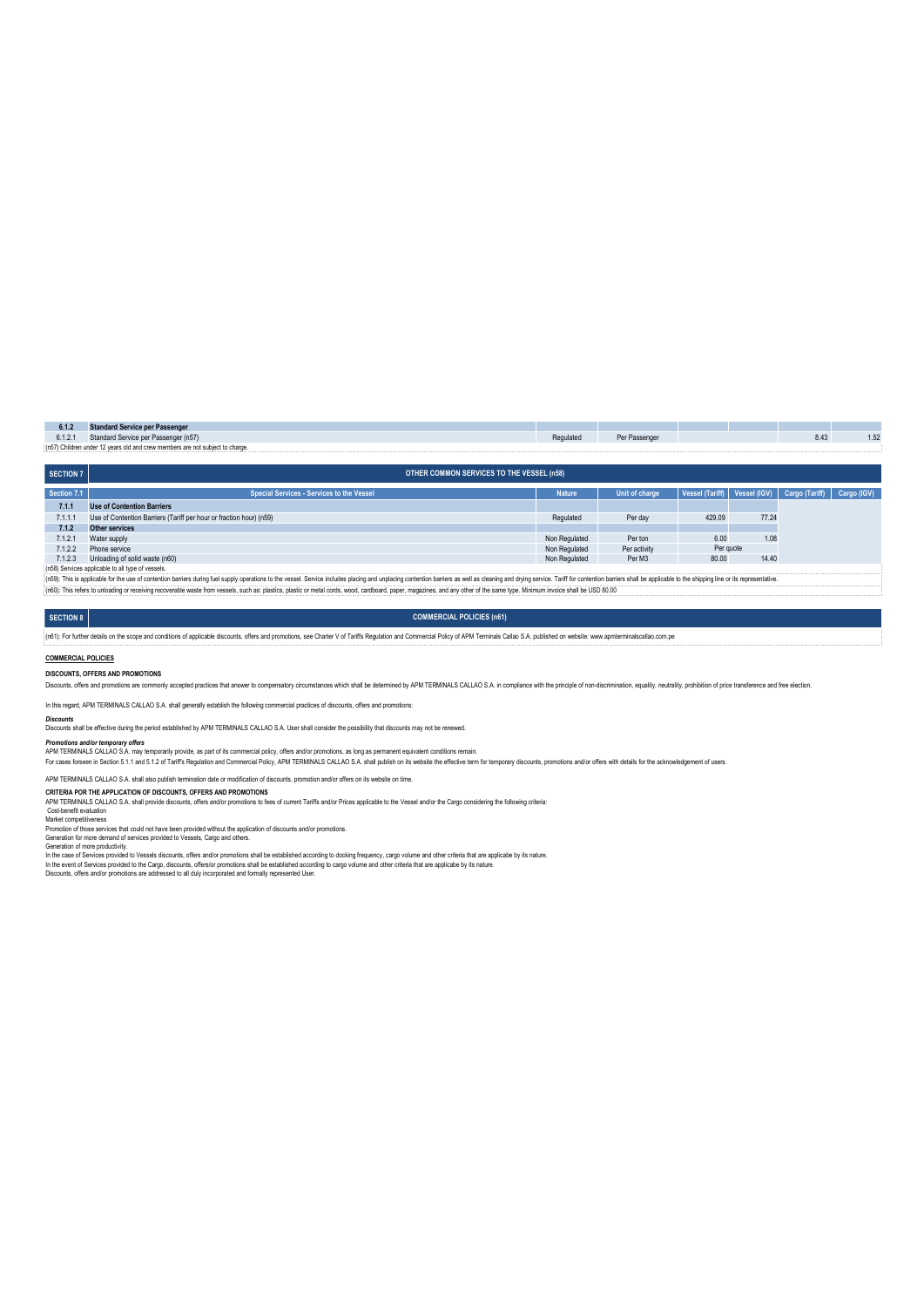|                                                   | SECTION 7   | OTHER COMMON SERVICES TO THE VESSEL (n58)                           |               |                |           |       |                                                               |  |
|---------------------------------------------------|-------------|---------------------------------------------------------------------|---------------|----------------|-----------|-------|---------------------------------------------------------------|--|
|                                                   | Section 7.1 | <b>Special Services - Services to the Vessel</b>                    | <b>Nature</b> | Unit of charge |           |       | Vessel (Tariff)   Vessel (IGV)   Cargo (Tariff)   Cargo (IGV) |  |
|                                                   | 7.1.1       | <b>Use of Contention Barriers</b>                                   |               |                |           |       |                                                               |  |
|                                                   | 7.1.1.1     | Use of Contention Barriers (Tariff per hour or fraction hour) (n59) | Regulated     | Per day        | 429.09    | 77.24 |                                                               |  |
|                                                   | 7.1.2       | Other services                                                      |               |                |           |       |                                                               |  |
|                                                   | 7.1.2.1     | Water supply                                                        | Non Regulated | Per ton        | 6.00      | 1.08  |                                                               |  |
|                                                   | 7.1.2.2     | Phone service                                                       | Non Regulated | Per activity   | Per quote |       |                                                               |  |
|                                                   | 7.1.2.3     | Unloading of solid waste (n60)                                      | Non Regulated | Per M3         | 80.00     | 14.40 |                                                               |  |
| (n58) Services applicable to all type of vessels. |             |                                                                     |               |                |           |       |                                                               |  |
|                                                   |             |                                                                     |               |                |           |       |                                                               |  |

59): This is applicable for the use of contention barriers during fuel supply operations to the vessel. Service includes placing and unplacing contention barriers as well as cleaning and drying service. Tariff for contenti (n60): This refers to unloading or receiving recoverable waste from vessels, such as: plastics, plastic or metal cords, wood, cardboard, paper, magazines, and any other of the same type. Minimum invoice shall be USD 80.00

| SECTION 8                                                                                                                                                                                                                      | <b>COMMERCIAL POLICIES (n61)</b> |  |  |  |
|--------------------------------------------------------------------------------------------------------------------------------------------------------------------------------------------------------------------------------|----------------------------------|--|--|--|
| :(n61): For further details on the scope and conditions of applicable discounts, offers and promotions, see Charter V of Tariffs Regulation and Commercial Policy of APM Terminals Callao S.A. published on website: www.apmte |                                  |  |  |  |

### **COMMERCIAL POLICIES**

**DISCOUNTS, OFFERS AND PROMOTIONS**

Discounts, offers and promotions are commonly accepted practices that answer to compensatory circumstances which shall be determined by APM TERMINALS CALLAO S.A. in compliance with the principle of non-discrimination, equa

## In this regard, APM TERMINALS CALLAO S.A. shall generally establish the following commercial practices of discounts, offers and promotions

*Discounts* Discounts shall be effective during the period established by APM TERMINALS CALLAO S.A. User shall consider the possibility that discounts may not be renewed.

*Promotions and/or temporary offers* APM TERMINALS CALLAO S.A. may temporarily provide, as part of its commercial policy, offers and/or promotions, as long as permanent equivalent conditions remain.

A in Luxter Constant of the Marketine, as pure in Commercial Policy, APM TERMINALS CALLAO S.A. shall publish on its website the effective term for temporary discounts, promotions and/or offers with details for the acknowle

APM TERMINALS CALLAO S.A. shall also publish termination date or modification of discounts, promotion and/or offers on its website on time.

CRITERIA POR THE APPLICATION OF DISCOUNTS, OFFERS AND PROMOTIONS<br>APM TERMINALS CALLAO S.A. shall provide discounts, offers and/or promotions to fees of current Tariffs and/or Prices applicable to the Vessel and/or the Carg

Cost-benefit evaluation<br>Market competitiveness<br>Promotion of more productivity.<br>Generation of more productivity.<br>Generation for more productivity.<br>In the case of Services provided to Vessels discounts, offers and/or promoti

In the event of Services provided to the Cargo, discounts, offers/or promotions shall be established according to cargo volume and other criteria that are applicabe by its nature.<br>Discounts, offers and/or promotions are ad